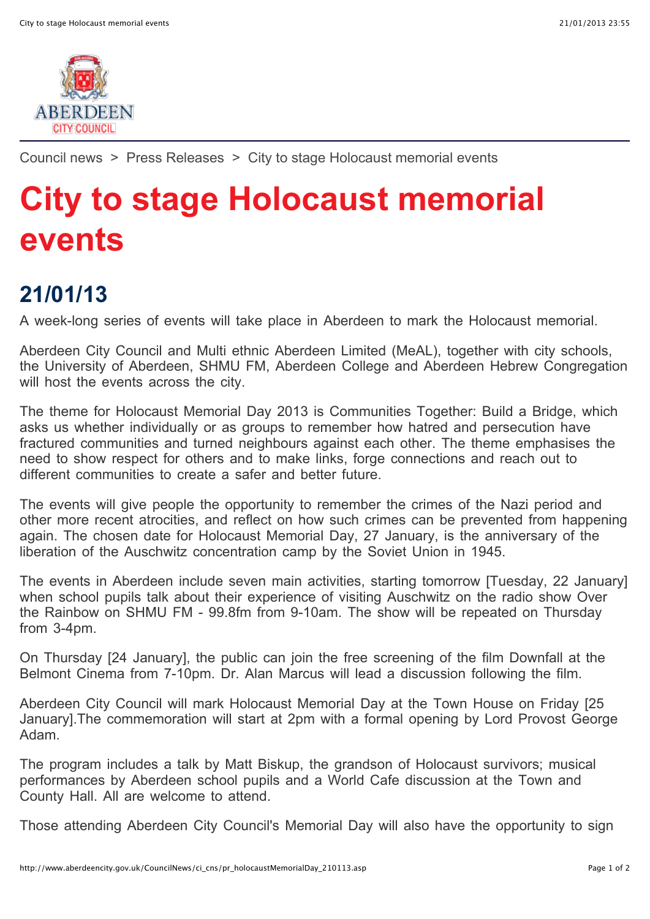

Council news > Press Releases > City to stage Holocaust memorial events

## **City to stage Holocaust memorial events**

## **21/01/13**

A week-long series of events will take place in Aberdeen to mark the Holocaust memorial.

Aberdeen City Council and Multi ethnic Aberdeen Limited (MeAL), together with city schools, the University of Aberdeen, SHMU FM, Aberdeen College and Aberdeen Hebrew Congregation will host the events across the city.

The theme for Holocaust Memorial Day 2013 is Communities Together: Build a Bridge, which asks us whether individually or as groups to remember how hatred and persecution have fractured communities and turned neighbours against each other. The theme emphasises the need to show respect for others and to make links, forge connections and reach out to different communities to create a safer and better future.

The events will give people the opportunity to remember the crimes of the Nazi period and other more recent atrocities, and reflect on how such crimes can be prevented from happening again. The chosen date for Holocaust Memorial Day, 27 January, is the anniversary of the liberation of the Auschwitz concentration camp by the Soviet Union in 1945.

The events in Aberdeen include seven main activities, starting tomorrow [Tuesday, 22 January] when school pupils talk about their experience of visiting Auschwitz on the radio show Over the Rainbow on SHMU FM - 99.8fm from 9-10am. The show will be repeated on Thursday from 3-4pm.

On Thursday [24 January], the public can join the free screening of the film Downfall at the Belmont Cinema from 7-10pm. Dr. Alan Marcus will lead a discussion following the film.

Aberdeen City Council will mark Holocaust Memorial Day at the Town House on Friday [25 January].The commemoration will start at 2pm with a formal opening by Lord Provost George Adam.

The program includes a talk by Matt Biskup, the grandson of Holocaust survivors; musical performances by Aberdeen school pupils and a World Cafe discussion at the Town and County Hall. All are welcome to attend.

Those attending Aberdeen City Council's Memorial Day will also have the opportunity to sign